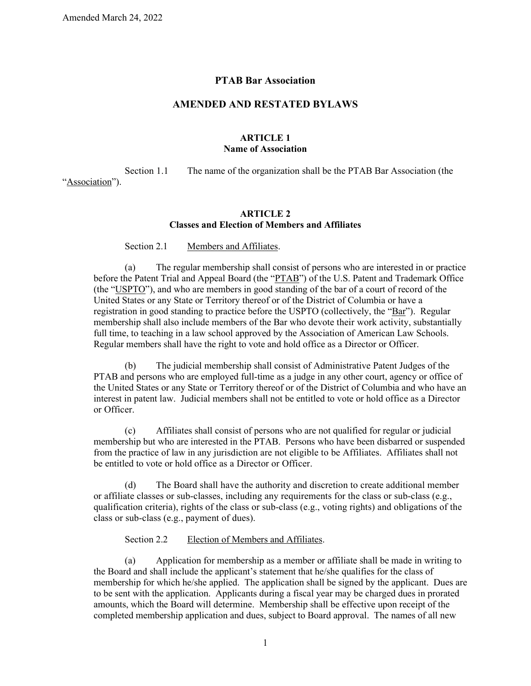## **PTAB Bar Association**

# **AMENDED AND RESTATED BYLAWS**

## **ARTICLE 1 Name of Association**

Section 1.1 The name of the organization shall be the PTAB Bar Association (the

"Association").

## **ARTICLE 2 Classes and Election of Members and Affiliates**

Section 2.1 Members and Affiliates.

(a) The regular membership shall consist of persons who are interested in or practice before the Patent Trial and Appeal Board (the "PTAB") of the U.S. Patent and Trademark Office (the "USPTO"), and who are members in good standing of the bar of a court of record of the United States or any State or Territory thereof or of the District of Columbia or have a registration in good standing to practice before the USPTO (collectively, the "Bar"). Regular membership shall also include members of the Bar who devote their work activity, substantially full time, to teaching in a law school approved by the Association of American Law Schools. Regular members shall have the right to vote and hold office as a Director or Officer.

(b) The judicial membership shall consist of Administrative Patent Judges of the PTAB and persons who are employed full-time as a judge in any other court, agency or office of the United States or any State or Territory thereof or of the District of Columbia and who have an interest in patent law. Judicial members shall not be entitled to vote or hold office as a Director or Officer.

(c) Affiliates shall consist of persons who are not qualified for regular or judicial membership but who are interested in the PTAB. Persons who have been disbarred or suspended from the practice of law in any jurisdiction are not eligible to be Affiliates. Affiliates shall not be entitled to vote or hold office as a Director or Officer.

(d) The Board shall have the authority and discretion to create additional member or affiliate classes or sub-classes, including any requirements for the class or sub-class (e.g., qualification criteria), rights of the class or sub-class (e.g., voting rights) and obligations of the class or sub-class (e.g., payment of dues).

## Section 2.2 Election of Members and Affiliates.

(a) Application for membership as a member or affiliate shall be made in writing to the Board and shall include the applicant's statement that he/she qualifies for the class of membership for which he/she applied. The application shall be signed by the applicant. Dues are to be sent with the application. Applicants during a fiscal year may be charged dues in prorated amounts, which the Board will determine. Membership shall be effective upon receipt of the completed membership application and dues, subject to Board approval. The names of all new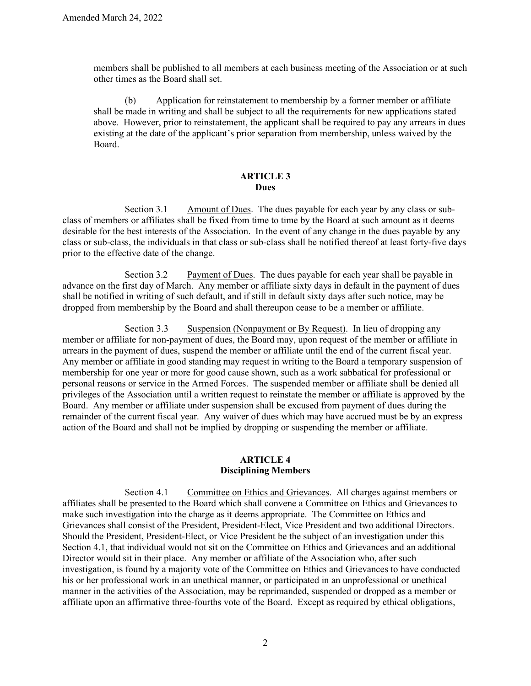members shall be published to all members at each business meeting of the Association or at such other times as the Board shall set.

(b) Application for reinstatement to membership by a former member or affiliate shall be made in writing and shall be subject to all the requirements for new applications stated above. However, prior to reinstatement, the applicant shall be required to pay any arrears in dues existing at the date of the applicant's prior separation from membership, unless waived by the Board.

#### **ARTICLE 3 Dues**

Section 3.1 Amount of Dues. The dues payable for each year by any class or subclass of members or affiliates shall be fixed from time to time by the Board at such amount as it deems desirable for the best interests of the Association. In the event of any change in the dues payable by any class or sub-class, the individuals in that class or sub-class shall be notified thereof at least forty-five days prior to the effective date of the change.

Section 3.2 Payment of Dues. The dues payable for each year shall be payable in advance on the first day of March. Any member or affiliate sixty days in default in the payment of dues shall be notified in writing of such default, and if still in default sixty days after such notice, may be dropped from membership by the Board and shall thereupon cease to be a member or affiliate.

Section 3.3 Suspension (Nonpayment or By Request). In lieu of dropping any member or affiliate for non-payment of dues, the Board may, upon request of the member or affiliate in arrears in the payment of dues, suspend the member or affiliate until the end of the current fiscal year. Any member or affiliate in good standing may request in writing to the Board a temporary suspension of membership for one year or more for good cause shown, such as a work sabbatical for professional or personal reasons or service in the Armed Forces. The suspended member or affiliate shall be denied all privileges of the Association until a written request to reinstate the member or affiliate is approved by the Board. Any member or affiliate under suspension shall be excused from payment of dues during the remainder of the current fiscal year. Any waiver of dues which may have accrued must be by an express action of the Board and shall not be implied by dropping or suspending the member or affiliate.

#### **ARTICLE 4 Disciplining Members**

<span id="page-1-0"></span>Section 4.1 Committee on Ethics and Grievances. All charges against members or affiliates shall be presented to the Board which shall convene a Committee on Ethics and Grievances to make such investigation into the charge as it deems appropriate. The Committee on Ethics and Grievances shall consist of the President, President-Elect, Vice President and two additional Directors. Should the President, President-Elect, or Vice President be the subject of an investigation under this [Section 4.1,](#page-1-0) that individual would not sit on the Committee on Ethics and Grievances and an additional Director would sit in their place. Any member or affiliate of the Association who, after such investigation, is found by a majority vote of the Committee on Ethics and Grievances to have conducted his or her professional work in an unethical manner, or participated in an unprofessional or unethical manner in the activities of the Association, may be reprimanded, suspended or dropped as a member or affiliate upon an affirmative three-fourths vote of the Board. Except as required by ethical obligations,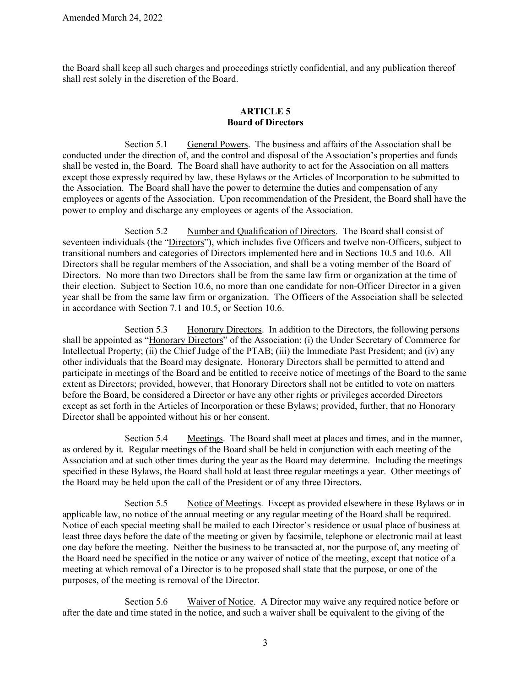the Board shall keep all such charges and proceedings strictly confidential, and any publication thereof shall rest solely in the discretion of the Board.

# **ARTICLE 5 Board of Directors**

Section 5.1 General Powers.The business and affairs of the Association shall be conducted under the direction of, and the control and disposal of the Association's properties and funds shall be vested in, the Board. The Board shall have authority to act for the Association on all matters except those expressly required by law, these Bylaws or the Articles of Incorporation to be submitted to the Association. The Board shall have the power to determine the duties and compensation of any employees or agents of the Association. Upon recommendation of the President, the Board shall have the power to employ and discharge any employees or agents of the Association.

Section 5.2 Number and Qualification of Directors.The Board shall consist of seventeen individuals (the "Directors"), which includes five Officers and twelve non-Officers, subject to transitional numbers and categories of Directors implemented here and in Sections 10.5 and 10.6. All Directors shall be regular members of the Association, and shall be a voting member of the Board of Directors. No more than two Directors shall be from the same law firm or organization at the time of their election. Subject to [Section 10.6,](#page-9-0) no more than one candidate for non-Officer Director in a given year shall be from the same law firm or organization. The Officers of the Association shall be selected in accordance with [Section 7.1](#page-5-0) and 10.5, or [Section 10.6.](#page-9-0)

Section 5.3 Honorary Directors.In addition to the Directors, the following persons shall be appointed as "Honorary Directors" of the Association: (i) the Under Secretary of Commerce for Intellectual Property; (ii) the Chief Judge of the PTAB; (iii) the Immediate Past President; and (iv) any other individuals that the Board may designate. Honorary Directors shall be permitted to attend and participate in meetings of the Board and be entitled to receive notice of meetings of the Board to the same extent as Directors; provided, however, that Honorary Directors shall not be entitled to vote on matters before the Board, be considered a Director or have any other rights or privileges accorded Directors except as set forth in the Articles of Incorporation or these Bylaws; provided, further, that no Honorary Director shall be appointed without his or her consent.

Section 5.4 Meetings.The Board shall meet at places and times, and in the manner, as ordered by it. Regular meetings of the Board shall be held in conjunction with each meeting of the Association and at such other times during the year as the Board may determine. Including the meetings specified in these Bylaws, the Board shall hold at least three regular meetings a year. Other meetings of the Board may be held upon the call of the President or of any three Directors.

Section 5.5 Notice of Meetings.Except as provided elsewhere in these Bylaws or in applicable law, no notice of the annual meeting or any regular meeting of the Board shall be required. Notice of each special meeting shall be mailed to each Director's residence or usual place of business at least three days before the date of the meeting or given by facsimile, telephone or electronic mail at least one day before the meeting. Neither the business to be transacted at, nor the purpose of, any meeting of the Board need be specified in the notice or any waiver of notice of the meeting, except that notice of a meeting at which removal of a Director is to be proposed shall state that the purpose, or one of the purposes, of the meeting is removal of the Director.

Section 5.6 Waiver of Notice.A Director may waive any required notice before or after the date and time stated in the notice, and such a waiver shall be equivalent to the giving of the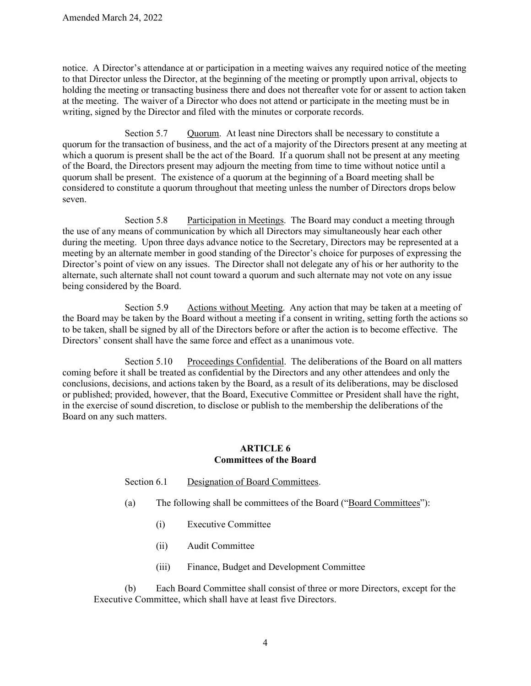notice. A Director's attendance at or participation in a meeting waives any required notice of the meeting to that Director unless the Director, at the beginning of the meeting or promptly upon arrival, objects to holding the meeting or transacting business there and does not thereafter vote for or assent to action taken at the meeting. The waiver of a Director who does not attend or participate in the meeting must be in writing, signed by the Director and filed with the minutes or corporate records.

Section 5.7 Quorum.At least nine Directors shall be necessary to constitute a quorum for the transaction of business, and the act of a majority of the Directors present at any meeting at which a quorum is present shall be the act of the Board. If a quorum shall not be present at any meeting of the Board, the Directors present may adjourn the meeting from time to time without notice until a quorum shall be present. The existence of a quorum at the beginning of a Board meeting shall be considered to constitute a quorum throughout that meeting unless the number of Directors drops below seven.

Section 5.8 Participation in Meetings.The Board may conduct a meeting through the use of any means of communication by which all Directors may simultaneously hear each other during the meeting. Upon three days advance notice to the Secretary, Directors may be represented at a meeting by an alternate member in good standing of the Director's choice for purposes of expressing the Director's point of view on any issues. The Director shall not delegate any of his or her authority to the alternate, such alternate shall not count toward a quorum and such alternate may not vote on any issue being considered by the Board.

Section 5.9 Actions without Meeting.Any action that may be taken at a meeting of the Board may be taken by the Board without a meeting if a consent in writing, setting forth the actions so to be taken, shall be signed by all of the Directors before or after the action is to become effective. The Directors' consent shall have the same force and effect as a unanimous vote.

Section 5.10 Proceedings Confidential.The deliberations of the Board on all matters coming before it shall be treated as confidential by the Directors and any other attendees and only the conclusions, decisions, and actions taken by the Board, as a result of its deliberations, may be disclosed or published; provided, however, that the Board, Executive Committee or President shall have the right, in the exercise of sound discretion, to disclose or publish to the membership the deliberations of the Board on any such matters.

### **ARTICLE 6 Committees of the Board**

# Section 6.1 Designation of Board Committees.

- (a) The following shall be committees of the Board ("Board Committees"):
	- (i) Executive Committee
	- (ii) Audit Committee
	- (iii) Finance, Budget and Development Committee

(b) Each Board Committee shall consist of three or more Directors, except for the Executive Committee, which shall have at least five Directors.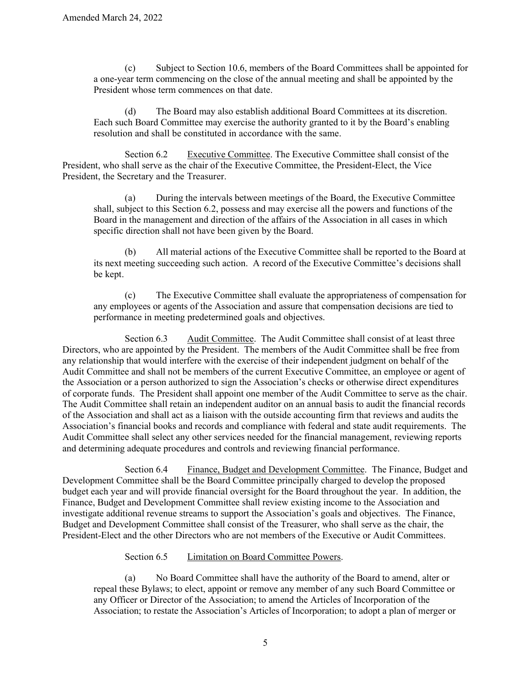(c) Subject to [Section 10.6,](#page-9-0) members of the Board Committees shall be appointed for a one-year term commencing on the close of the annual meeting and shall be appointed by the President whose term commences on that date.

(d) The Board may also establish additional Board Committees at its discretion. Each such Board Committee may exercise the authority granted to it by the Board's enabling resolution and shall be constituted in accordance with the same.

<span id="page-4-0"></span>Section 6.2 Executive Committee. The Executive Committee shall consist of the President, who shall serve as the chair of the Executive Committee, the President-Elect, the Vice President, the Secretary and the Treasurer.

(a) During the intervals between meetings of the Board, the Executive Committee shall, subject to this [Section 6.2,](#page-4-0) possess and may exercise all the powers and functions of the Board in the management and direction of the affairs of the Association in all cases in which specific direction shall not have been given by the Board.

(b) All material actions of the Executive Committee shall be reported to the Board at its next meeting succeeding such action. A record of the Executive Committee's decisions shall be kept.

(c) The Executive Committee shall evaluate the appropriateness of compensation for any employees or agents of the Association and assure that compensation decisions are tied to performance in meeting predetermined goals and objectives.

Section 6.3 Audit Committee.The Audit Committee shall consist of at least three Directors, who are appointed by the President. The members of the Audit Committee shall be free from any relationship that would interfere with the exercise of their independent judgment on behalf of the Audit Committee and shall not be members of the current Executive Committee, an employee or agent of the Association or a person authorized to sign the Association's checks or otherwise direct expenditures of corporate funds. The President shall appoint one member of the Audit Committee to serve as the chair. The Audit Committee shall retain an independent auditor on an annual basis to audit the financial records of the Association and shall act as a liaison with the outside accounting firm that reviews and audits the Association's financial books and records and compliance with federal and state audit requirements. The Audit Committee shall select any other services needed for the financial management, reviewing reports and determining adequate procedures and controls and reviewing financial performance.

Section 6.4 Finance, Budget and Development Committee.The Finance, Budget and Development Committee shall be the Board Committee principally charged to develop the proposed budget each year and will provide financial oversight for the Board throughout the year. In addition, the Finance, Budget and Development Committee shall review existing income to the Association and investigate additional revenue streams to support the Association's goals and objectives. The Finance, Budget and Development Committee shall consist of the Treasurer, who shall serve as the chair, the President-Elect and the other Directors who are not members of the Executive or Audit Committees.

## Section 6.5 Limitation on Board Committee Powers.

(a) No Board Committee shall have the authority of the Board to amend, alter or repeal these Bylaws; to elect, appoint or remove any member of any such Board Committee or any Officer or Director of the Association; to amend the Articles of Incorporation of the Association; to restate the Association's Articles of Incorporation; to adopt a plan of merger or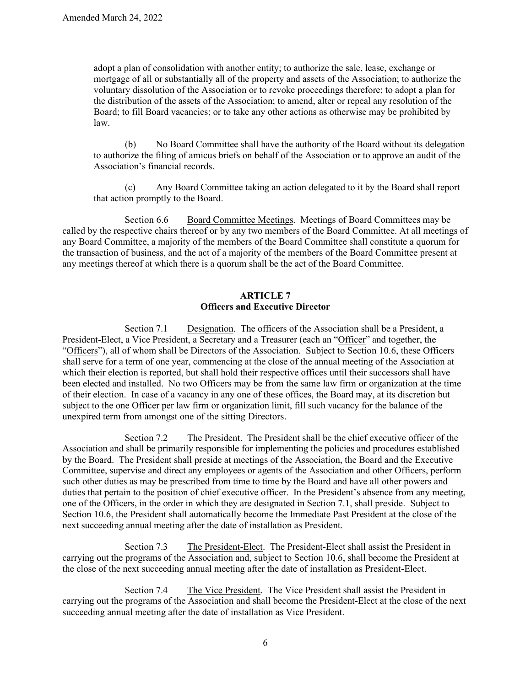adopt a plan of consolidation with another entity; to authorize the sale, lease, exchange or mortgage of all or substantially all of the property and assets of the Association; to authorize the voluntary dissolution of the Association or to revoke proceedings therefore; to adopt a plan for the distribution of the assets of the Association; to amend, alter or repeal any resolution of the Board; to fill Board vacancies; or to take any other actions as otherwise may be prohibited by law.

(b) No Board Committee shall have the authority of the Board without its delegation to authorize the filing of amicus briefs on behalf of the Association or to approve an audit of the Association's financial records.

(c) Any Board Committee taking an action delegated to it by the Board shall report that action promptly to the Board.

Section 6.6 Board Committee Meetings.Meetings of Board Committees may be called by the respective chairs thereof or by any two members of the Board Committee. At all meetings of any Board Committee, a majority of the members of the Board Committee shall constitute a quorum for the transaction of business, and the act of a majority of the members of the Board Committee present at any meetings thereof at which there is a quorum shall be the act of the Board Committee.

# **ARTICLE 7 Officers and Executive Director**

<span id="page-5-0"></span>Section 7.1 Designation.The officers of the Association shall be a President, a President-Elect, a Vice President, a Secretary and a Treasurer (each an "Officer" and together, the "Officers"), all of whom shall be Directors of the Association. Subject to [Section 10.6,](#page-9-0) these Officers shall serve for a term of one year, commencing at the close of the annual meeting of the Association at which their election is reported, but shall hold their respective offices until their successors shall have been elected and installed. No two Officers may be from the same law firm or organization at the time of their election. In case of a vacancy in any one of these offices, the Board may, at its discretion but subject to the one Officer per law firm or organization limit, fill such vacancy for the balance of the unexpired term from amongst one of the sitting Directors.

Section 7.2 The President.The President shall be the chief executive officer of the Association and shall be primarily responsible for implementing the policies and procedures established by the Board. The President shall preside at meetings of the Association, the Board and the Executive Committee, supervise and direct any employees or agents of the Association and other Officers, perform such other duties as may be prescribed from time to time by the Board and have all other powers and duties that pertain to the position of chief executive officer. In the President's absence from any meeting, one of the Officers, in the order in which they are designated in [Section 7.1,](#page-5-0) shall preside. Subject to [Section 10.6,](#page-9-0) the President shall automatically become the Immediate Past President at the close of the next succeeding annual meeting after the date of installation as President.

Section 7.3 The President-Elect. The President-Elect shall assist the President in carrying out the programs of the Association and, subject to Section 10.6, shall become the President at the close of the next succeeding annual meeting after the date of installation as President-Elect.

Section 7.4 The Vice President.The Vice President shall assist the President in carrying out the programs of the Association and shall become the President-Elect at the close of the next succeeding annual meeting after the date of installation as Vice President.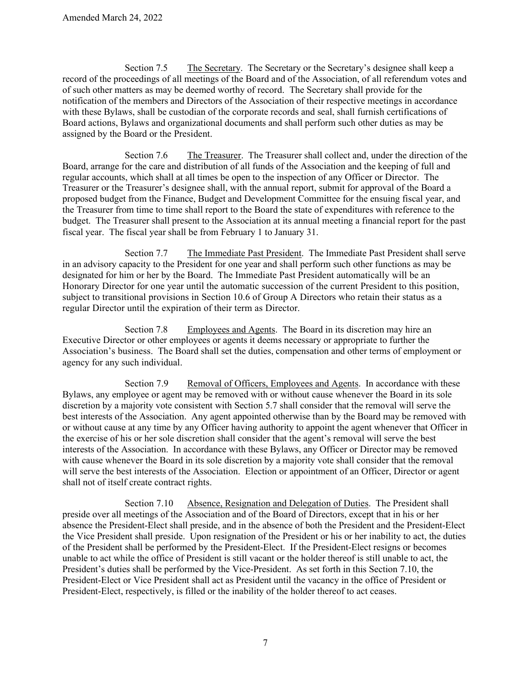Section 7.5 The Secretary.The Secretary or the Secretary's designee shall keep a record of the proceedings of all meetings of the Board and of the Association, of all referendum votes and of such other matters as may be deemed worthy of record. The Secretary shall provide for the notification of the members and Directors of the Association of their respective meetings in accordance with these Bylaws, shall be custodian of the corporate records and seal, shall furnish certifications of Board actions, Bylaws and organizational documents and shall perform such other duties as may be assigned by the Board or the President.

Section 7.6 The Treasurer.The Treasurer shall collect and, under the direction of the Board, arrange for the care and distribution of all funds of the Association and the keeping of full and regular accounts, which shall at all times be open to the inspection of any Officer or Director. The Treasurer or the Treasurer's designee shall, with the annual report, submit for approval of the Board a proposed budget from the Finance, Budget and Development Committee for the ensuing fiscal year, and the Treasurer from time to time shall report to the Board the state of expenditures with reference to the budget. The Treasurer shall present to the Association at its annual meeting a financial report for the past fiscal year. The fiscal year shall be from February 1 to January 31.

Section 7.7 The Immediate Past President.The Immediate Past President shall serve in an advisory capacity to the President for one year and shall perform such other functions as may be designated for him or her by the Board. The Immediate Past President automatically will be an Honorary Director for one year until the automatic succession of the current President to this position, subject to transitional provisions in Section 10.6 of Group A Directors who retain their status as a regular Director until the expiration of their term as Director.

Section 7.8 Employees and Agents.The Board in its discretion may hire an Executive Director or other employees or agents it deems necessary or appropriate to further the Association's business. The Board shall set the duties, compensation and other terms of employment or agency for any such individual.

Section 7.9 Removal of Officers, Employees and Agents.In accordance with these Bylaws, any employee or agent may be removed with or without cause whenever the Board in its sole discretion by a majority vote consistent with Section 5.7 shall consider that the removal will serve the best interests of the Association. Any agent appointed otherwise than by the Board may be removed with or without cause at any time by any Officer having authority to appoint the agent whenever that Officer in the exercise of his or her sole discretion shall consider that the agent's removal will serve the best interests of the Association. In accordance with these Bylaws, any Officer or Director may be removed with cause whenever the Board in its sole discretion by a majority vote shall consider that the removal will serve the best interests of the Association. Election or appointment of an Officer, Director or agent shall not of itself create contract rights.

<span id="page-6-0"></span>Section 7.10 Absence, Resignation and Delegation of Duties.The President shall preside over all meetings of the Association and of the Board of Directors, except that in his or her absence the President-Elect shall preside, and in the absence of both the President and the President-Elect the Vice President shall preside. Upon resignation of the President or his or her inability to act, the duties of the President shall be performed by the President-Elect. If the President-Elect resigns or becomes unable to act while the office of President is still vacant or the holder thereof is still unable to act, the President's duties shall be performed by the Vice-President. As set forth in this [Section 7.10,](#page-6-0) the President-Elect or Vice President shall act as President until the vacancy in the office of President or President-Elect, respectively, is filled or the inability of the holder thereof to act ceases.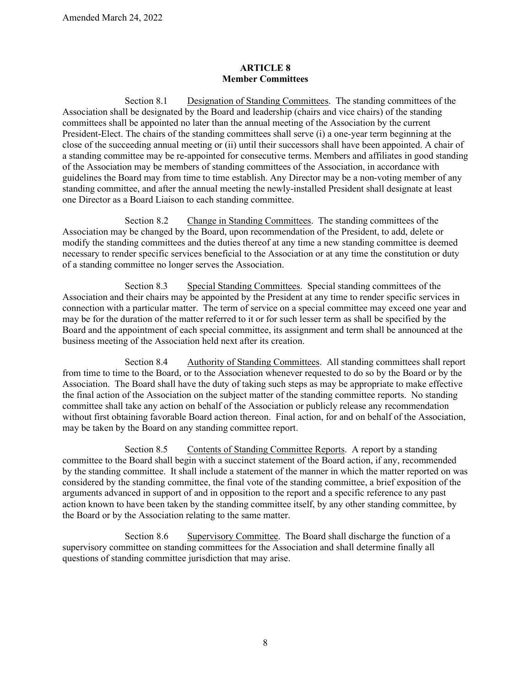## **ARTICLE 8 Member Committees**

Section 8.1 Designation of Standing Committees. The standing committees of the Association shall be designated by the Board and leadership (chairs and vice chairs) of the standing committees shall be appointed no later than the annual meeting of the Association by the current President-Elect. The chairs of the standing committees shall serve (i) a one-year term beginning at the close of the succeeding annual meeting or (ii) until their successors shall have been appointed. A chair of a standing committee may be re-appointed for consecutive terms. Members and affiliates in good standing of the Association may be members of standing committees of the Association, in accordance with guidelines the Board may from time to time establish. Any Director may be a non-voting member of any standing committee, and after the annual meeting the newly-installed President shall designate at least one Director as a Board Liaison to each standing committee.

Section 8.2 Change in Standing Committees. The standing committees of the Association may be changed by the Board, upon recommendation of the President, to add, delete or modify the standing committees and the duties thereof at any time a new standing committee is deemed necessary to render specific services beneficial to the Association or at any time the constitution or duty of a standing committee no longer serves the Association.

Section 8.3 Special Standing Committees. Special standing committees of the Association and their chairs may be appointed by the President at any time to render specific services in connection with a particular matter. The term of service on a special committee may exceed one year and may be for the duration of the matter referred to it or for such lesser term as shall be specified by the Board and the appointment of each special committee, its assignment and term shall be announced at the business meeting of the Association held next after its creation.

Section 8.4 Authority of Standing Committees. All standing committees shall report from time to time to the Board, or to the Association whenever requested to do so by the Board or by the Association. The Board shall have the duty of taking such steps as may be appropriate to make effective the final action of the Association on the subject matter of the standing committee reports. No standing committee shall take any action on behalf of the Association or publicly release any recommendation without first obtaining favorable Board action thereon. Final action, for and on behalf of the Association, may be taken by the Board on any standing committee report.

Section 8.5 Contents of Standing Committee Reports. A report by a standing committee to the Board shall begin with a succinct statement of the Board action, if any, recommended by the standing committee. It shall include a statement of the manner in which the matter reported on was considered by the standing committee, the final vote of the standing committee, a brief exposition of the arguments advanced in support of and in opposition to the report and a specific reference to any past action known to have been taken by the standing committee itself, by any other standing committee, by the Board or by the Association relating to the same matter.

Section 8.6 Supervisory Committee. The Board shall discharge the function of a supervisory committee on standing committees for the Association and shall determine finally all questions of standing committee jurisdiction that may arise.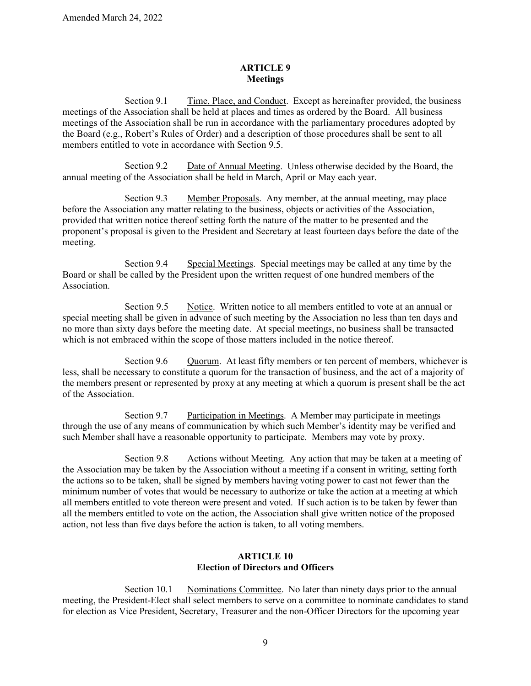### **ARTICLE 9 Meetings**

Section 9.1 Time, Place, and Conduct. Except as hereinafter provided, the business meetings of the Association shall be held at places and times as ordered by the Board. All business meetings of the Association shall be run in accordance with the parliamentary procedures adopted by the Board (e.g., Robert's Rules of Order) and a description of those procedures shall be sent to all members entitled to vote in accordance with Section 9.5.

Section 9.2 Date of Annual Meeting. Unless otherwise decided by the Board, the annual meeting of the Association shall be held in March, April or May each year.

Section 9.3 Member Proposals. Any member, at the annual meeting, may place before the Association any matter relating to the business, objects or activities of the Association, provided that written notice thereof setting forth the nature of the matter to be presented and the proponent's proposal is given to the President and Secretary at least fourteen days before the date of the meeting.

Section 9.4 Special Meetings. Special meetings may be called at any time by the Board or shall be called by the President upon the written request of one hundred members of the Association.

Section 9.5 Notice. Written notice to all members entitled to vote at an annual or special meeting shall be given in advance of such meeting by the Association no less than ten days and no more than sixty days before the meeting date. At special meetings, no business shall be transacted which is not embraced within the scope of those matters included in the notice thereof.

Section 9.6 Quorum.At least fifty members or ten percent of members, whichever is less, shall be necessary to constitute a quorum for the transaction of business, and the act of a majority of the members present or represented by proxy at any meeting at which a quorum is present shall be the act of the Association.

Section 9.7 Participation in Meetings. A Member may participate in meetings through the use of any means of communication by which such Member's identity may be verified and such Member shall have a reasonable opportunity to participate. Members may vote by proxy.

Section 9.8 Actions without Meeting. Any action that may be taken at a meeting of the Association may be taken by the Association without a meeting if a consent in writing, setting forth the actions so to be taken, shall be signed by members having voting power to cast not fewer than the minimum number of votes that would be necessary to authorize or take the action at a meeting at which all members entitled to vote thereon were present and voted. If such action is to be taken by fewer than all the members entitled to vote on the action, the Association shall give written notice of the proposed action, not less than five days before the action is taken, to all voting members.

## **ARTICLE 10 Election of Directors and Officers**

<span id="page-8-0"></span>Section 10.1 Nominations Committee. No later than ninety days prior to the annual meeting, the President-Elect shall select members to serve on a committee to nominate candidates to stand for election as Vice President, Secretary, Treasurer and the non-Officer Directors for the upcoming year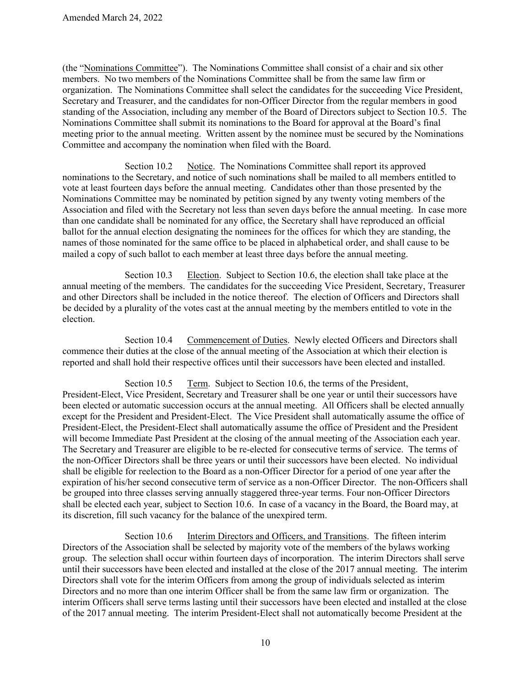(the "Nominations Committee"). The Nominations Committee shall consist of a chair and six other members. No two members of the Nominations Committee shall be from the same law firm or organization. The Nominations Committee shall select the candidates for the succeeding Vice President, Secretary and Treasurer, and the candidates for non-Officer Director from the regular members in good standing of the Association, including any member of the Board of Directors subject to Section 10.5. The Nominations Committee shall submit its nominations to the Board for approval at the Board's final meeting prior to the annual meeting. Written assent by the nominee must be secured by the Nominations Committee and accompany the nomination when filed with the Board.

<span id="page-9-1"></span>Section 10.2 Notice. The Nominations Committee shall report its approved nominations to the Secretary, and notice of such nominations shall be mailed to all members entitled to vote at least fourteen days before the annual meeting. Candidates other than those presented by the Nominations Committee may be nominated by petition signed by any twenty voting members of the Association and filed with the Secretary not less than seven days before the annual meeting. In case more than one candidate shall be nominated for any office, the Secretary shall have reproduced an official ballot for the annual election designating the nominees for the offices for which they are standing, the names of those nominated for the same office to be placed in alphabetical order, and shall cause to be mailed a copy of such ballot to each member at least three days before the annual meeting.

<span id="page-9-2"></span>Section 10.3 Election. Subject to [Section 10.6,](#page-9-0) the election shall take place at the annual meeting of the members. The candidates for the succeeding Vice President, Secretary, Treasurer and other Directors shall be included in the notice thereof. The election of Officers and Directors shall be decided by a plurality of the votes cast at the annual meeting by the members entitled to vote in the election.

Section 10.4 Commencement of Duties. Newly elected Officers and Directors shall commence their duties at the close of the annual meeting of the Association at which their election is reported and shall hold their respective offices until their successors have been elected and installed.

Section 10.5 Term. Subject to [Section 10.6,](#page-9-0) the terms of the President, President-Elect, Vice President, Secretary and Treasurer shall be one year or until their successors have been elected or automatic succession occurs at the annual meeting. All Officers shall be elected annually except for the President and President-Elect. The Vice President shall automatically assume the office of President-Elect, the President-Elect shall automatically assume the office of President and the President will become Immediate Past President at the closing of the annual meeting of the Association each year. The Secretary and Treasurer are eligible to be re-elected for consecutive terms of service. The terms of the non-Officer Directors shall be three years or until their successors have been elected. No individual shall be eligible for reelection to the Board as a non-Officer Director for a period of one year after the expiration of his/her second consecutive term of service as a non-Officer Director. The non-Officers shall be grouped into three classes serving annually staggered three-year terms. Four non-Officer Directors shall be elected each year, subject to Section 10.6. In case of a vacancy in the Board, the Board may, at its discretion, fill such vacancy for the balance of the unexpired term.

<span id="page-9-0"></span>Section 10.6 Interim Directors and Officers, and Transitions. The fifteen interim Directors of the Association shall be selected by majority vote of the members of the bylaws working group. The selection shall occur within fourteen days of incorporation. The interim Directors shall serve until their successors have been elected and installed at the close of the 2017 annual meeting. The interim Directors shall vote for the interim Officers from among the group of individuals selected as interim Directors and no more than one interim Officer shall be from the same law firm or organization. The interim Officers shall serve terms lasting until their successors have been elected and installed at the close of the 2017 annual meeting. The interim President-Elect shall not automatically become President at the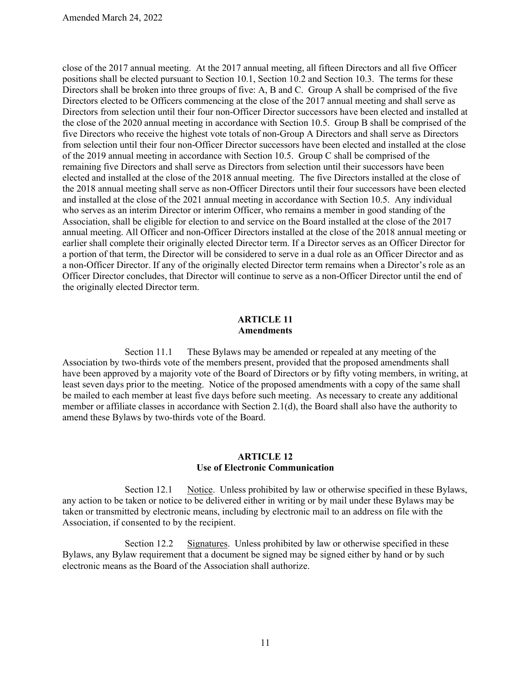close of the 2017 annual meeting. At the 2017 annual meeting, all fifteen Directors and all five Officer positions shall be elected pursuant to [Section 10.1,](#page-8-0) [Section 10.2](#page-9-1) and [Section 10.3.](#page-9-2) The terms for these Directors shall be broken into three groups of five: A, B and C. Group A shall be comprised of the five Directors elected to be Officers commencing at the close of the 2017 annual meeting and shall serve as Directors from selection until their four non-Officer Director successors have been elected and installed at the close of the 2020 annual meeting in accordance with Section 10.5. Group B shall be comprised of the five Directors who receive the highest vote totals of non-Group A Directors and shall serve as Directors from selection until their four non-Officer Director successors have been elected and installed at the close of the 2019 annual meeting in accordance with Section 10.5. Group C shall be comprised of the remaining five Directors and shall serve as Directors from selection until their successors have been elected and installed at the close of the 2018 annual meeting. The five Directors installed at the close of the 2018 annual meeting shall serve as non-Officer Directors until their four successors have been elected and installed at the close of the 2021 annual meeting in accordance with Section 10.5. Any individual who serves as an interim Director or interim Officer, who remains a member in good standing of the Association, shall be eligible for election to and service on the Board installed at the close of the 2017 annual meeting. All Officer and non-Officer Directors installed at the close of the 2018 annual meeting or earlier shall complete their originally elected Director term. If a Director serves as an Officer Director for a portion of that term, the Director will be considered to serve in a dual role as an Officer Director and as a non-Officer Director. If any of the originally elected Director term remains when a Director's role as an Officer Director concludes, that Director will continue to serve as a non-Officer Director until the end of the originally elected Director term.

### **ARTICLE 11 Amendments**

Section 11.1 These Bylaws may be amended or repealed at any meeting of the Association by two-thirds vote of the members present, provided that the proposed amendments shall have been approved by a majority vote of the Board of Directors or by fifty voting members, in writing, at least seven days prior to the meeting. Notice of the proposed amendments with a copy of the same shall be mailed to each member at least five days before such meeting. As necessary to create any additional member or affiliate classes in accordance with Section 2.1(d), the Board shall also have the authority to amend these Bylaws by two-thirds vote of the Board.

### **ARTICLE 12 Use of Electronic Communication**

Section 12.1 Notice. Unless prohibited by law or otherwise specified in these Bylaws, any action to be taken or notice to be delivered either in writing or by mail under these Bylaws may be taken or transmitted by electronic means, including by electronic mail to an address on file with the Association, if consented to by the recipient.

Section 12.2 Signatures. Unless prohibited by law or otherwise specified in these Bylaws, any Bylaw requirement that a document be signed may be signed either by hand or by such electronic means as the Board of the Association shall authorize.